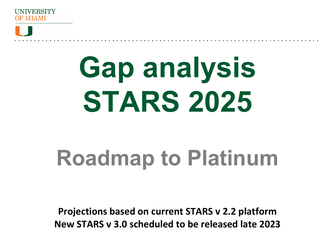



# **Gap analysis STARS 2025**

## **Roadmap to Platinum**

**Projections based on current STARS v 2.2 platform New STARS v 3.0 scheduled to be released late 2023**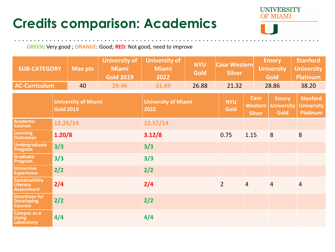#### **Credits comparison: Academics**



 $\label{eq:3.1} \begin{array}{cccccccccccccc} \mathbf{0} & \mathbf{0} & \mathbf{0} & \mathbf{0} & \mathbf{0} & \mathbf{0} & \mathbf{0} & \mathbf{0} & \mathbf{0} & \mathbf{0} \end{array}$ 

**GREEN**: Very good ; **ORANGE**: Good; **RED**: Not good, need to improve

| <b>SUB-CATEGORY</b>                                          |          | <b>Max pts</b>                     | <b>University of</b><br><b>Miami</b><br><b>Gold 2019</b> | <b>University of</b><br><b>Miami</b><br>2022 | <b>NYU</b><br><b>Gold</b> | <b>Case Western</b><br><b>Silver</b>           |                                                  | <b>Emory</b><br><b>University</b><br><b>Gold</b>        |                | <b>Stanford</b><br><b>University</b><br><b>Platinum</b> |
|--------------------------------------------------------------|----------|------------------------------------|----------------------------------------------------------|----------------------------------------------|---------------------------|------------------------------------------------|--------------------------------------------------|---------------------------------------------------------|----------------|---------------------------------------------------------|
| <b>AC-Curriculum</b><br>40                                   |          |                                    | 29.46                                                    | 31.69                                        | 26.88                     | 21.32                                          |                                                  | 28.86                                                   |                | 38.20                                                   |
| <b>University of Miami</b><br><b>Gold 2019</b>               |          | <b>University of Miami</b><br>2022 |                                                          | <b>NYU</b><br><b>Gold</b>                    |                           | <b>Case</b><br><b>Western</b><br><b>Silver</b> | <b>Emory</b><br><b>University</b><br><b>Gold</b> | <b>Stanford</b><br><b>University</b><br><b>Platinum</b> |                |                                                         |
| <b>Academic</b><br><b>Courses</b>                            | 12.26/14 |                                    |                                                          | 12.57/14                                     |                           |                                                |                                                  |                                                         |                |                                                         |
| <b>Learning</b><br><b>Outcomes</b>                           | 1.20/8   |                                    |                                                          | 3.12/8                                       |                           | 0.75                                           | 1.15                                             |                                                         | 8              | 8                                                       |
| Undergraduate<br>Program                                     | 3/3      |                                    | 3/3                                                      |                                              |                           |                                                |                                                  |                                                         |                |                                                         |
| Graduate<br>Program                                          | 3/3      |                                    | 3/3                                                      |                                              |                           |                                                |                                                  |                                                         |                |                                                         |
| <b>Immersive</b><br><b>Experience</b>                        | 2/2      |                                    | 2/2                                                      |                                              |                           |                                                |                                                  |                                                         |                |                                                         |
| <b>Sustainability</b><br>Literacy<br><b>Assessment</b>       | 2/4      |                                    | 2/4                                                      |                                              | $\overline{2}$            | $\overline{4}$                                 |                                                  | $\overline{4}$                                          | $\overline{4}$ |                                                         |
| <b>Incentives for</b><br><b>Developing</b><br><b>Courses</b> | 2/2      |                                    | 2/2                                                      |                                              |                           |                                                |                                                  |                                                         |                |                                                         |
| <b>Campus as a</b><br><b>Living</b><br>Laboratory            | 4/4      |                                    | 4/4                                                      |                                              |                           |                                                |                                                  |                                                         |                |                                                         |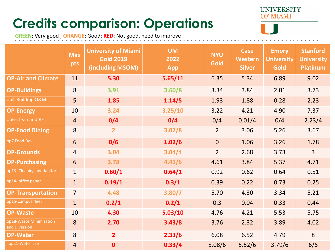### **Credits comparison: Operations**



**GREEN**: Very good ; **ORANGE**: Good; **RED**: Not good, need to improve

|                                          | <b>Max</b><br>pts | <b>University of Miami</b><br><b>Gold 2019</b><br>(including MSOM) | <b>UM</b><br>2022<br>App | <b>NYU</b><br>Gold | <b>Case</b><br>Western<br><b>Silver</b> | <b>Emory</b><br><b>University</b><br>Gold | <b>Stanford</b><br><b>University</b><br>Platinum |
|------------------------------------------|-------------------|--------------------------------------------------------------------|--------------------------|--------------------|-----------------------------------------|-------------------------------------------|--------------------------------------------------|
| <b>OP-Air and Climate</b>                | 11                | 5.30                                                               | 5.65/11                  | 6.35               | 5.34                                    | 6.89                                      | 9.02                                             |
| <b>OP-Buildings</b>                      | 8                 | 3.91                                                               | 3.60/8                   | 3.34               | 3.84                                    | 2.01                                      | 3.73                                             |
| op4-Building O&M                         | 5                 | 1.85                                                               | 1.14/5                   | 1.93               | 1.88                                    | 0.28                                      | 2.23                                             |
| <b>OP-Energy</b>                         | 10                | 3.24                                                               | 3.25/10                  | 3.22               | 4.21                                    | 4.90                                      | 7.37                                             |
| op6-Clean and RE                         | $\overline{4}$    | 0/4                                                                | 0/4                      | 0/4                | 0.01/4                                  | 0/4                                       | 2.23/4                                           |
| <b>OP-Food Dining</b>                    | 8                 | $\overline{2}$                                                     | 3.02/8                   | 2 <sup>1</sup>     | 3.06                                    | 5.26                                      | 3.67                                             |
| op7 Food-Bev                             | 6                 | 0/6                                                                | 1.02/6                   | $\overline{0}$     | 1.06                                    | 3.26                                      | 1.78                                             |
| <b>OP-Grounds</b>                        | $\overline{4}$    | 3.04                                                               | 3.04/4                   | 2 <sup>1</sup>     | 2.68                                    | 3.73                                      | 3 <sup>1</sup>                                   |
| <b>OP-Purchasing</b>                     | 6                 | 3.78                                                               | 4.41/6                   | 4.61               | 3.84                                    | 5.37                                      | 4.71                                             |
| op13- Cleaning and Janitorial            | $\mathbf{1}$      | 0.60/1                                                             | 0.64/1                   | 0.92               | 0.62                                    | 0.64                                      | 0.51                                             |
| op14- office paper                       | $\mathbf{1}$      | 0.19/1                                                             | 0.3/1                    | 0.39               | 0.22                                    | 0.73                                      | 0.25                                             |
| <b>OP-Transportation</b>                 |                   | 4.48                                                               | 3.80/7                   | 5.70               | 4.30                                    | 3.34                                      | 5.21                                             |
| op15-Campus fleet                        | 1                 | 0.2/1                                                              | 0.2/1                    | 0.3                | 0.04                                    | 0.33                                      | 0.44                                             |
| <b>OP-Waste</b>                          | 10                | 4.30                                                               | 5.03/10                  | 4.76               | 4.21                                    | 5.53                                      | 5.75                                             |
| op18-Waste Minimization<br>and Diversion | 8                 | 2.70                                                               | 3.43/8                   | 3.76               | 2.32                                    | 3.89                                      | 4.02                                             |
| <b>OP-Water</b>                          | 8                 | 2 <sup>1</sup>                                                     | 2.33/6                   | 6.08               | 6.52                                    | 4.79                                      | 8                                                |
| op21-Water use                           | $\overline{4}$    | $\mathbf{0}$                                                       | 0.33/4                   | 5.08/6             | 5.52/6                                  | 3.79/6                                    | 6/6                                              |